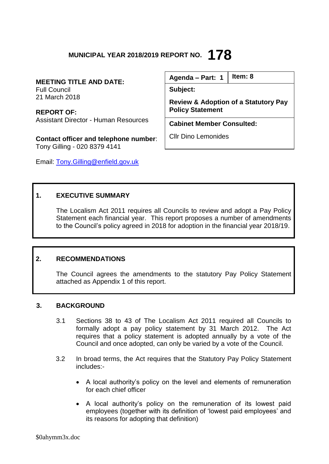# **MUNICIPAL YEAR 2018/2019 REPORT NO. 178**

**MEETING TITLE AND DATE:** Full Council 21 March 2018

**REPORT OF:** Assistant Director - Human Resources

**Contact officer and telephone number**: Tony Gilling - 020 8379 4141

Email: [Tony.Gilling@enfield.gov.uk](mailto:Tony.Gilling@enfield.gov.uk)

**Agenda – Part: 1 Item: 8**

**Subject:** 

**Review & Adoption of a Statutory Pay Policy Statement**

**Cabinet Member Consulted:**

Cllr Dino Lemonides

# **1. EXECUTIVE SUMMARY**

The Localism Act 2011 requires all Councils to review and adopt a Pay Policy Statement each financial year. This report proposes a number of amendments to the Council's policy agreed in 2018 for adoption in the financial year 2018/19.

# **2. RECOMMENDATIONS**

The Council agrees the amendments to the statutory Pay Policy Statement attached as Appendix 1 of this report.

### **3. BACKGROUND**

- 3.1 Sections 38 to 43 of The Localism Act 2011 required all Councils to formally adopt a pay policy statement by 31 March 2012. The Act requires that a policy statement is adopted annually by a vote of the Council and once adopted, can only be varied by a vote of the Council.
- 3.2 In broad terms, the Act requires that the Statutory Pay Policy Statement includes:-
	- A local authority's policy on the level and elements of remuneration for each chief officer
	- A local authority's policy on the remuneration of its lowest paid employees (together with its definition of 'lowest paid employees' and its reasons for adopting that definition)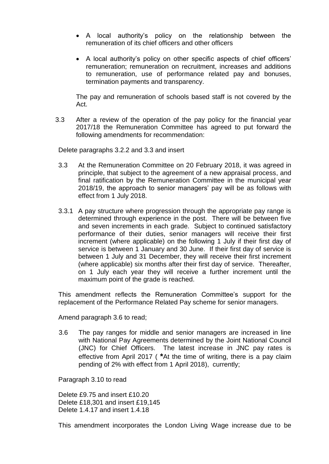- A local authority's policy on the relationship between the remuneration of its chief officers and other officers
- A local authority's policy on other specific aspects of chief officers' remuneration; remuneration on recruitment, increases and additions to remuneration, use of performance related pay and bonuses, termination payments and transparency.

The pay and remuneration of schools based staff is not covered by the Act.

3.3 After a review of the operation of the pay policy for the financial year 2017/18 the Remuneration Committee has agreed to put forward the following amendments for recommendation:

Delete paragraphs 3.2.2 and 3.3 and insert

- 3.3 At the Remuneration Committee on 20 February 2018, it was agreed in principle, that subject to the agreement of a new appraisal process, and final ratification by the Remuneration Committee in the municipal year 2018/19, the approach to senior managers' pay will be as follows with effect from 1 July 2018.
- 3.3.1 A pay structure where progression through the appropriate pay range is determined through experience in the post. There will be between five and seven increments in each grade. Subject to continued satisfactory performance of their duties, senior managers will receive their first increment (where applicable) on the following 1 July if their first day of service is between 1 January and 30 June. If their first day of service is between 1 July and 31 December, they will receive their first increment (where applicable) six months after their first day of service. Thereafter, on 1 July each year they will receive a further increment until the maximum point of the grade is reached.

This amendment reflects the Remuneration Committee's support for the replacement of the Performance Related Pay scheme for senior managers.

Amend paragraph 3.6 to read;

3.6 The pay ranges for middle and senior managers are increased in line with National Pay Agreements determined by the Joint National Council (JNC) for Chief Officers. The latest increase in JNC pay rates is effective from April 2017 ( **\***At the time of writing, there is a pay claim pending of 2% with effect from 1 April 2018), currently;

Paragraph 3.10 to read

Delete £9.75 and insert £10.20 Delete £18,301 and insert £19,145 Delete 1.4.17 and insert 1.4.18

This amendment incorporates the London Living Wage increase due to be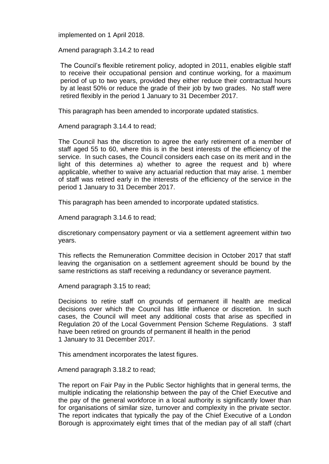implemented on 1 April 2018.

Amend paragraph 3.14.2 to read

The Council's flexible retirement policy, adopted in 2011, enables eligible staff to receive their occupational pension and continue working, for a maximum period of up to two years, provided they either reduce their contractual hours by at least 50% or reduce the grade of their job by two grades. No staff were retired flexibly in the period 1 January to 31 December 2017.

This paragraph has been amended to incorporate updated statistics.

Amend paragraph 3.14.4 to read;

The Council has the discretion to agree the early retirement of a member of staff aged 55 to 60, where this is in the best interests of the efficiency of the service. In such cases, the Council considers each case on its merit and in the light of this determines a) whether to agree the request and b) where applicable, whether to waive any actuarial reduction that may arise. 1 member of staff was retired early in the interests of the efficiency of the service in the period 1 January to 31 December 2017.

This paragraph has been amended to incorporate updated statistics.

Amend paragraph 3.14.6 to read;

discretionary compensatory payment or via a settlement agreement within two years.

This reflects the Remuneration Committee decision in October 2017 that staff leaving the organisation on a settlement agreement should be bound by the same restrictions as staff receiving a redundancy or severance payment.

Amend paragraph 3.15 to read;

Decisions to retire staff on grounds of permanent ill health are medical decisions over which the Council has little influence or discretion. In such cases, the Council will meet any additional costs that arise as specified in Regulation 20 of the Local Government Pension Scheme Regulations. 3 staff have been retired on grounds of permanent ill health in the period 1 January to 31 December 2017.

This amendment incorporates the latest figures.

Amend paragraph 3.18.2 to read;

The report on Fair Pay in the Public Sector highlights that in general terms, the multiple indicating the relationship between the pay of the Chief Executive and the pay of the general workforce in a local authority is significantly lower than for organisations of similar size, turnover and complexity in the private sector. The report indicates that typically the pay of the Chief Executive of a London Borough is approximately eight times that of the median pay of all staff (chart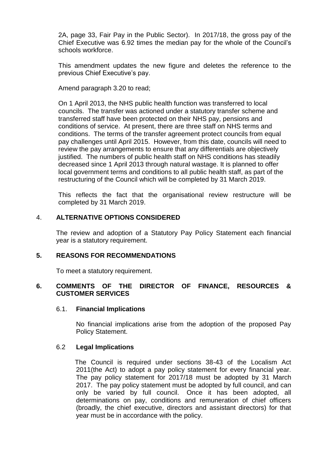2A, page 33, Fair Pay in the Public Sector). In 2017/18, the gross pay of the Chief Executive was 6.92 times the median pay for the whole of the Council's schools workforce.

This amendment updates the new figure and deletes the reference to the previous Chief Executive's pay.

Amend paragraph 3.20 to read;

On 1 April 2013, the NHS public health function was transferred to local councils. The transfer was actioned under a statutory transfer scheme and transferred staff have been protected on their NHS pay, pensions and conditions of service. At present, there are three staff on NHS terms and conditions. The terms of the transfer agreement protect councils from equal pay challenges until April 2015. However, from this date, councils will need to review the pay arrangements to ensure that any differentials are objectively justified. The numbers of public health staff on NHS conditions has steadily decreased since 1 April 2013 through natural wastage. It is planned to offer local government terms and conditions to all public health staff, as part of the restructuring of the Council which will be completed by 31 March 2019.

This reflects the fact that the organisational review restructure will be completed by 31 March 2019.

### 4. **ALTERNATIVE OPTIONS CONSIDERED**

The review and adoption of a Statutory Pay Policy Statement each financial year is a statutory requirement.

### **5. REASONS FOR RECOMMENDATIONS**

To meet a statutory requirement.

### **6. COMMENTS OF THE DIRECTOR OF FINANCE, RESOURCES & CUSTOMER SERVICES**

#### 6.1. **Financial Implications**

No financial implications arise from the adoption of the proposed Pay Policy Statement.

### 6.2 **Legal Implications**

The Council is required under sections 38-43 of the Localism Act 2011(the Act) to adopt a pay policy statement for every financial year. The pay policy statement for 2017/18 must be adopted by 31 March 2017. The pay policy statement must be adopted by full council, and can only be varied by full council. Once it has been adopted, all determinations on pay, conditions and remuneration of chief officers (broadly, the chief executive, directors and assistant directors) for that year must be in accordance with the policy.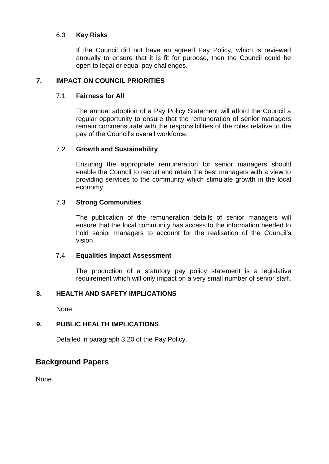### 6.3 **Key Risks**

If the Council did not have an agreed Pay Policy, which is reviewed annually to ensure that it is fit for purpose, then the Council could be open to legal or equal pay challenges.

### **7. IMPACT ON COUNCIL PRIORITIES**

### 7.1 **Fairness for All**

The annual adoption of a Pay Policy Statement will afford the Council a regular opportunity to ensure that the remuneration of senior managers remain commensurate with the responsibilities of the roles relative to the pay of the Council's overall workforce.

### 7.2 **Growth and Sustainability**

Ensuring the appropriate remuneration for senior managers should enable the Council to recruit and retain the best managers with a view to providing services to the community which stimulate growth in the local economy.

### 7.3 **Strong Communities**

The publication of the remuneration details of senior managers will ensure that the local community has access to the information needed to hold senior managers to account for the realisation of the Council's vision.

### 7.4 **Equalities Impact Assessment**

The production of a statutory pay policy statement is a legislative requirement which will only impact on a very small number of senior staff**.**

# **8. HEALTH AND SAFETY IMPLICATIONS**

None

# **9. PUBLIC HEALTH IMPLICATIONS**

Detailed in paragraph 3.20 of the Pay Policy.

# **Background Papers**

None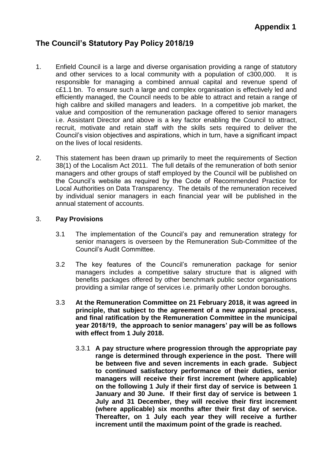# **Appendix 1**

# **The Council's Statutory Pay Policy 2018/19**

- 1. Enfield Council is a large and diverse organisation providing a range of statutory and other services to a local community with a population of c300,000. It is responsible for managing a combined annual capital and revenue spend of c£1.1 bn. To ensure such a large and complex organisation is effectively led and efficiently managed, the Council needs to be able to attract and retain a range of high calibre and skilled managers and leaders. In a competitive job market, the value and composition of the remuneration package offered to senior managers i.e. Assistant Director and above is a key factor enabling the Council to attract, recruit, motivate and retain staff with the skills sets required to deliver the Council's vision objectives and aspirations, which in turn, have a significant impact on the lives of local residents.
- 2. This statement has been drawn up primarily to meet the requirements of Section 38(1) of the Localism Act 2011. The full details of the remuneration of both senior managers and other groups of staff employed by the Council will be published on the Council's website as required by the Code of Recommended Practice for Local Authorities on Data Transparency. The details of the remuneration received by individual senior managers in each financial year will be published in the annual statement of accounts.

### 3. **Pay Provisions**

- 3.1 The implementation of the Council's pay and remuneration strategy for senior managers is overseen by the Remuneration Sub-Committee of the Council's Audit Committee.
- 3.2 The key features of the Council's remuneration package for senior managers includes a competitive salary structure that is aligned with benefits packages offered by other benchmark public sector organisations providing a similar range of services i.e. primarily other London boroughs.
- 3.3 **At the Remuneration Committee on 21 February 2018, it was agreed in principle, that subject to the agreement of a new appraisal process, and final ratification by the Remuneration Committee in the municipal year 2018/19, the approach to senior managers' pay will be as follows with effect from 1 July 2018.**
	- 3.3.1 **A pay structure where progression through the appropriate pay range is determined through experience in the post. There will be between five and seven increments in each grade. Subject to continued satisfactory performance of their duties, senior managers will receive their first increment (where applicable) on the following 1 July if their first day of service is between 1 January and 30 June. If their first day of service is between 1 July and 31 December, they will receive their first increment (where applicable) six months after their first day of service. Thereafter, on 1 July each year they will receive a further increment until the maximum point of the grade is reached.**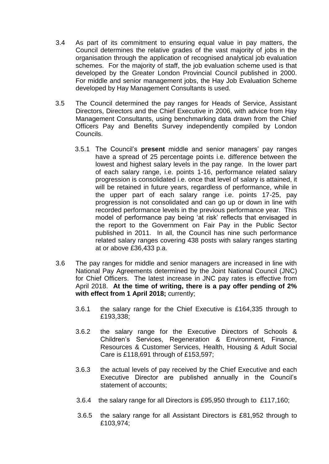- 3.4 As part of its commitment to ensuring equal value in pay matters, the Council determines the relative grades of the vast majority of jobs in the organisation through the application of recognised analytical job evaluation schemes. For the majority of staff, the job evaluation scheme used is that developed by the Greater London Provincial Council published in 2000. For middle and senior management jobs, the Hay Job Evaluation Scheme developed by Hay Management Consultants is used.
- 3.5 The Council determined the pay ranges for Heads of Service, Assistant Directors, Directors and the Chief Executive in 2006, with advice from Hay Management Consultants, using benchmarking data drawn from the Chief Officers Pay and Benefits Survey independently compiled by London Councils.
	- 3.5.1 The Council's **present** middle and senior managers' pay ranges have a spread of 25 percentage points i.e. difference between the lowest and highest salary levels in the pay range. In the lower part of each salary range, i.e. points 1-16, performance related salary progression is consolidated i.e. once that level of salary is attained, it will be retained in future years, regardless of performance, while in the upper part of each salary range i.e. points 17-25, pay progression is not consolidated and can go up or down in line with recorded performance levels in the previous performance year. This model of performance pay being 'at risk' reflects that envisaged in the report to the Government on Fair Pay in the Public Sector published in 2011. In all, the Council has nine such performance related salary ranges covering 438 posts with salary ranges starting at or above £36,433 p.a.
- 3.6 The pay ranges for middle and senior managers are increased in line with National Pay Agreements determined by the Joint National Council (JNC) for Chief Officers. The latest increase in JNC pay rates is effective from April 2018. **At the time of writing, there is a pay offer pending of 2% with effect from 1 April 2018;** currently;
	- 3.6.1 the salary range for the Chief Executive is £164,335 through to £193,338;
	- 3.6.2 the salary range for the Executive Directors of Schools & Children's Services, Regeneration & Environment, Finance, Resources & Customer Services, Health, Housing & Adult Social Care is £118,691 through of £153,597;
	- 3.6.3 the actual levels of pay received by the Chief Executive and each Executive Director are published annually in the Council's statement of accounts;
	- 3.6.4 the salary range for all Directors is £95,950 through to £117,160;
	- 3.6.5 the salary range for all Assistant Directors is £81,952 through to £103,974;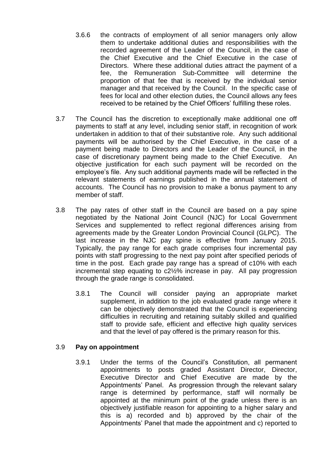- 3.6.6 the contracts of employment of all senior managers only allow them to undertake additional duties and responsibilities with the recorded agreement of the Leader of the Council, in the case of the Chief Executive and the Chief Executive in the case of Directors. Where these additional duties attract the payment of a fee, the Remuneration Sub-Committee will determine the proportion of that fee that is received by the individual senior manager and that received by the Council. In the specific case of fees for local and other election duties, the Council allows any fees received to be retained by the Chief Officers' fulfilling these roles.
- 3.7 The Council has the discretion to exceptionally make additional one off payments to staff at any level, including senior staff, in recognition of work undertaken in addition to that of their substantive role. Any such additional payments will be authorised by the Chief Executive, in the case of a payment being made to Directors and the Leader of the Council, in the case of discretionary payment being made to the Chief Executive. An objective justification for each such payment will be recorded on the employee's file. Any such additional payments made will be reflected in the relevant statements of earnings published in the annual statement of accounts. The Council has no provision to make a bonus payment to any member of staff.
- 3.8 The pay rates of other staff in the Council are based on a pay spine negotiated by the National Joint Council (NJC) for Local Government Services and supplemented to reflect regional differences arising from agreements made by the Greater London Provincial Council (GLPC). The last increase in the NJC pay spine is effective from January 2015. Typically, the pay range for each grade comprises four incremental pay points with staff progressing to the next pay point after specified periods of time in the post. Each grade pay range has a spread of c10% with each incremental step equating to c2½% increase in pay. All pay progression through the grade range is consolidated.
	- 3.8.1 The Council will consider paying an appropriate market supplement, in addition to the job evaluated grade range where it can be objectively demonstrated that the Council is experiencing difficulties in recruiting and retaining suitably skilled and qualified staff to provide safe, efficient and effective high quality services and that the level of pay offered is the primary reason for this.

### 3.9 **Pay on appointment**

3.9.1 Under the terms of the Council's Constitution, all permanent appointments to posts graded Assistant Director, Director, Executive Director and Chief Executive are made by the Appointments' Panel. As progression through the relevant salary range is determined by performance, staff will normally be appointed at the minimum point of the grade unless there is an objectively justifiable reason for appointing to a higher salary and this is a) recorded and b) approved by the chair of the Appointments' Panel that made the appointment and c) reported to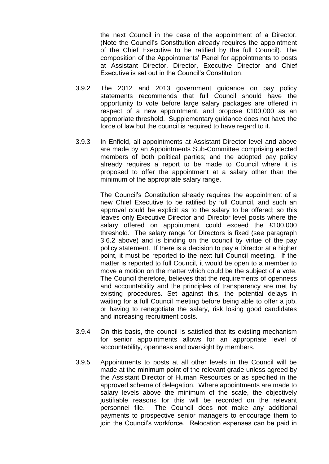the next Council in the case of the appointment of a Director. (Note the Council's Constitution already requires the appointment of the Chief Executive to be ratified by the full Council). The composition of the Appointments' Panel for appointments to posts at Assistant Director, Director, Executive Director and Chief Executive is set out in the Council's Constitution.

- 3.9.2 The 2012 and 2013 government guidance on pay policy statements recommends that full Council should have the opportunity to vote before large salary packages are offered in respect of a new appointment, and propose £100,000 as an appropriate threshold. Supplementary guidance does not have the force of law but the council is required to have regard to it.
- 3.9.3 In Enfield, all appointments at Assistant Director level and above are made by an Appointments Sub-Committee comprising elected members of both political parties; and the adopted pay policy already requires a report to be made to Council where it is proposed to offer the appointment at a salary other than the minimum of the appropriate salary range.

The Council's Constitution already requires the appointment of a new Chief Executive to be ratified by full Council, and such an approval could be explicit as to the salary to be offered; so this leaves only Executive Director and Director level posts where the salary offered on appointment could exceed the £100,000 threshold. The salary range for Directors is fixed (see paragraph 3.6.2 above) and is binding on the council by virtue of the pay policy statement. If there is a decision to pay a Director at a higher point, it must be reported to the next full Council meeting. If the matter is reported to full Council, it would be open to a member to move a motion on the matter which could be the subject of a vote. The Council therefore, believes that the requirements of openness and accountability and the principles of transparency are met by existing procedures. Set against this, the potential delays in waiting for a full Council meeting before being able to offer a job, or having to renegotiate the salary, risk losing good candidates and increasing recruitment costs.

- 3.9.4 On this basis, the council is satisfied that its existing mechanism for senior appointments allows for an appropriate level of accountability, openness and oversight by members.
- 3.9.5 Appointments to posts at all other levels in the Council will be made at the minimum point of the relevant grade unless agreed by the Assistant Director of Human Resources or as specified in the approved scheme of delegation. Where appointments are made to salary levels above the minimum of the scale, the objectively justifiable reasons for this will be recorded on the relevant personnel file. The Council does not make any additional payments to prospective senior managers to encourage them to join the Council's workforce. Relocation expenses can be paid in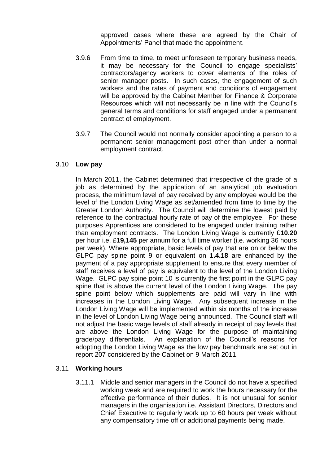approved cases where these are agreed by the Chair of Appointments' Panel that made the appointment.

- 3.9.6 From time to time, to meet unforeseen temporary business needs, it may be necessary for the Council to engage specialists' contractors/agency workers to cover elements of the roles of senior manager posts. In such cases, the engagement of such workers and the rates of payment and conditions of engagement will be approved by the Cabinet Member for Finance & Corporate Resources which will not necessarily be in line with the Council's general terms and conditions for staff engaged under a permanent contract of employment.
- 3.9.7 The Council would not normally consider appointing a person to a permanent senior management post other than under a normal employment contract.

### 3.10 **Low pay**

In March 2011, the Cabinet determined that irrespective of the grade of a job as determined by the application of an analytical job evaluation process, the minimum level of pay received by any employee would be the level of the London Living Wage as set/amended from time to time by the Greater London Authority. The Council will determine the lowest paid by reference to the contractual hourly rate of pay of the employee. For these purposes Apprentices are considered to be engaged under training rather than employment contracts. The London Living Wage is currently £**10.20** per hour i.e. £**19,145** per annum for a full time worker (i.e. working 36 hours per week). Where appropriate, basic levels of pay that are on or below the GLPC pay spine point 9 or equivalent on **1.4.18** are enhanced by the payment of a pay appropriate supplement to ensure that every member of staff receives a level of pay is equivalent to the level of the London Living Wage. GLPC pay spine point 10 is currently the first point in the GLPC pay spine that is above the current level of the London Living Wage. The pay spine point below which supplements are paid will vary in line with increases in the London Living Wage. Any subsequent increase in the London Living Wage will be implemented within six months of the increase in the level of London Living Wage being announced. The Council staff will not adjust the basic wage levels of staff already in receipt of pay levels that are above the London Living Wage for the purpose of maintaining grade/pay differentials. An explanation of the Council's reasons for adopting the London Living Wage as the low pay benchmark are set out in report 207 considered by the Cabinet on 9 March 2011.

# 3.11 **Working hours**

3.11.1 Middle and senior managers in the Council do not have a specified working week and are required to work the hours necessary for the effective performance of their duties. It is not unusual for senior managers in the organisation i.e. Assistant Directors, Directors and Chief Executive to regularly work up to 60 hours per week without any compensatory time off or additional payments being made.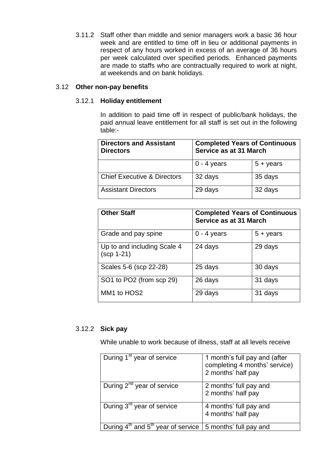3.11.2 Staff other than middle and senior managers work a basic 36 hour week and are entitled to time off in lieu or additional payments in respect of any hours worked in excess of an average of 36 hours per week calculated over specified periods. Enhanced payments are made to staffs who are contractually required to work at night, at weekends and on bank holidays.

### 3.12 **Other non-pay benefits**

### 3.12.1 **Holiday entitlement**

In addition to paid time off in respect of public/bank holidays, the paid annual leave entitlement for all staff is set out in the following table:-

| <b>Directors and Assistant</b><br><b>Directors</b> | <b>Completed Years of Continuous</b><br>Service as at 31 March |                   |
|----------------------------------------------------|----------------------------------------------------------------|-------------------|
|                                                    | $0 - 4$ years                                                  | $5 + \gamma$ ears |
| <b>Chief Executive &amp; Directors</b>             | 32 days                                                        | 35 days           |
| <b>Assistant Directors</b>                         | 29 days                                                        | 32 days           |

| <b>Other Staff</b>                          | <b>Completed Years of Continuous</b><br>Service as at 31 March |                   |
|---------------------------------------------|----------------------------------------------------------------|-------------------|
| Grade and pay spine                         | $0 - 4$ years                                                  | $5 + \gamma$ ears |
| Up to and including Scale 4<br>$(scp 1-21)$ | 24 days                                                        | 29 days           |
| Scales 5-6 (scp 22-28)                      | 25 days                                                        | 30 days           |
| SO1 to PO2 (from scp 29)                    | 26 days                                                        | 31 days           |
| MM1 to HOS2                                 | 29 days                                                        | 31 days           |

# 3.12.2 **Sick pay**

While unable to work because of illness, staff at all levels receive

| During 1 <sup>st</sup> year of service                                              | 1 month's full pay and (after<br>completing 4 months' service)<br>2 months' half pay |
|-------------------------------------------------------------------------------------|--------------------------------------------------------------------------------------|
| During $2^{nd}$ year of service                                                     | 2 months' full pay and<br>2 months' half pay                                         |
| During 3 <sup>rd</sup> year of service                                              | 4 months' full pay and<br>4 months' half pay                                         |
| During $4^{\text{th}}$ and $5^{\text{th}}$ year of service   5 months' full pay and |                                                                                      |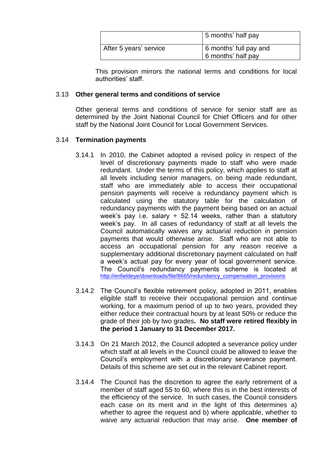|                        | 5 months' half pay                                         |
|------------------------|------------------------------------------------------------|
| After 5 years' service | 6 months' full pay and<br>$\frac{1}{2}$ 6 months' half pay |

This provision mirrors the national terms and conditions for local authorities' staff.

### 3.13 **Other general terms and conditions of service**

Other general terms and conditions of service for senior staff are as determined by the Joint National Council for Chief Officers and for other staff by the National Joint Council for Local Government Services.

### 3.14 **Termination payments**

- 3.14.1 In 2010, the Cabinet adopted a revised policy in respect of the level of discretionary payments made to staff who were made redundant. Under the terms of this policy, which applies to staff at all levels including senior managers, on being made redundant, staff who are immediately able to access their occupational pension payments will receive a redundancy payment which is calculated using the statutory table for the calculation of redundancy payments with the payment being based on an actual week's pay i.e. salary  $\div$  52.14 weeks, rather than a statutory week's pay. In all cases of redundancy of staff at all levels the Council automatically waives any actuarial reduction in pension payments that would otherwise arise. Staff who are not able to access an occupational pension for any reason receive a supplementary additional discretionary payment calculated on half a week's actual pay for every year of local government service. The Council's redundancy payments scheme is located at [http://enfieldeye/downloads/file/8665/redundancy\\_compensation\\_provisions](http://enfieldeye/downloads/file/8665/redundancy_compensation_provisions)
- 3.14.2 The Council's flexible retirement policy, adopted in 2011, enables eligible staff to receive their occupational pension and continue working, for a maximum period of up to two years, provided they either reduce their contractual hours by at least 50% or reduce the grade of their job by two grades**. No staff were retired flexibly in the period 1 January to 31 December 2017.**
- 3.14.3 On 21 March 2012, the Council adopted a severance policy under which staff at all levels in the Council could be allowed to leave the Council's employment with a discretionary severance payment. Details of this scheme are set out in the relevant Cabinet report.
- 3.14.4 The Council has the discretion to agree the early retirement of a member of staff aged 55 to 60, where this is in the best interests of the efficiency of the service. In such cases, the Council considers each case on its merit and in the light of this determines a) whether to agree the request and b) where applicable, whether to waive any actuarial reduction that may arise. **One member of**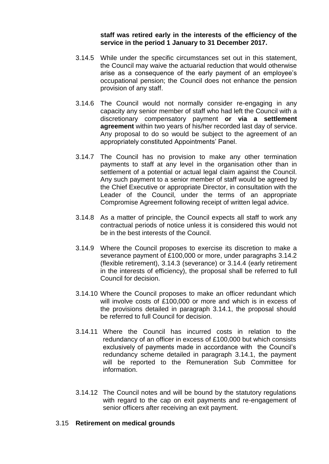**staff was retired early in the interests of the efficiency of the service in the period 1 January to 31 December 2017.**

- 3.14.5 While under the specific circumstances set out in this statement, the Council may waive the actuarial reduction that would otherwise arise as a consequence of the early payment of an employee's occupational pension; the Council does not enhance the pension provision of any staff.
- 3.14.6 The Council would not normally consider re-engaging in any capacity any senior member of staff who had left the Council with a discretionary compensatory payment **or via a settlement agreement** within two years of his/her recorded last day of service. Any proposal to do so would be subject to the agreement of an appropriately constituted Appointments' Panel.
- 3.14.7 The Council has no provision to make any other termination payments to staff at any level in the organisation other than in settlement of a potential or actual legal claim against the Council. Any such payment to a senior member of staff would be agreed by the Chief Executive or appropriate Director, in consultation with the Leader of the Council, under the terms of an appropriate Compromise Agreement following receipt of written legal advice.
- 3.14.8 As a matter of principle, the Council expects all staff to work any contractual periods of notice unless it is considered this would not be in the best interests of the Council.
- 3.14.9 Where the Council proposes to exercise its discretion to make a severance payment of £100,000 or more, under paragraphs 3.14.2 (flexible retirement), 3.14.3 (severance) or 3.14.4 (early retirement in the interests of efficiency), the proposal shall be referred to full Council for decision.
- 3.14.10 Where the Council proposes to make an officer redundant which will involve costs of £100,000 or more and which is in excess of the provisions detailed in paragraph 3.14.1, the proposal should be referred to full Council for decision.
- 3.14.11 Where the Council has incurred costs in relation to the redundancy of an officer in excess of £100,000 but which consists exclusively of payments made in accordance with the Council's redundancy scheme detailed in paragraph 3.14.1, the payment will be reported to the Remuneration Sub Committee for information.
- 3.14.12 The Council notes and will be bound by the statutory regulations with regard to the cap on exit payments and re-engagement of senior officers after receiving an exit payment.

### 3.15 **Retirement on medical grounds**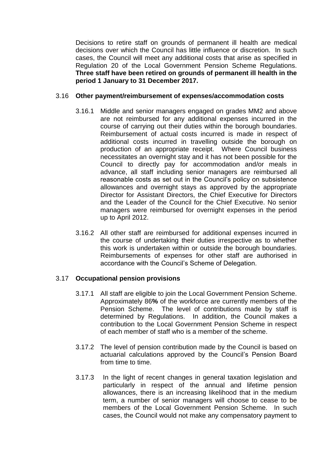Decisions to retire staff on grounds of permanent ill health are medical decisions over which the Council has little influence or discretion. In such cases, the Council will meet any additional costs that arise as specified in Regulation 20 of the Local Government Pension Scheme Regulations. **Three staff have been retired on grounds of permanent ill health in the period 1 January to 31 December 2017.**

### 3.16 **Other payment/reimbursement of expenses/accommodation costs**

- 3.16.1 Middle and senior managers engaged on grades MM2 and above are not reimbursed for any additional expenses incurred in the course of carrying out their duties within the borough boundaries. Reimbursement of actual costs incurred is made in respect of additional costs incurred in travelling outside the borough on production of an appropriate receipt. Where Council business necessitates an overnight stay and it has not been possible for the Council to directly pay for accommodation and/or meals in advance, all staff including senior managers are reimbursed all reasonable costs as set out in the Council's policy on subsistence allowances and overnight stays as approved by the appropriate Director for Assistant Directors, the Chief Executive for Directors and the Leader of the Council for the Chief Executive. No senior managers were reimbursed for overnight expenses in the period up to April 2012.
- 3.16.2 All other staff are reimbursed for additional expenses incurred in the course of undertaking their duties irrespective as to whether this work is undertaken within or outside the borough boundaries. Reimbursements of expenses for other staff are authorised in accordance with the Council's Scheme of Delegation.

### 3.17 **Occupational pension provisions**

- 3.17.1 All staff are eligible to join the Local Government Pension Scheme. Approximately 86**%** of the workforce are currently members of the Pension Scheme. The level of contributions made by staff is determined by Regulations. In addition, the Council makes a contribution to the Local Government Pension Scheme in respect of each member of staff who is a member of the scheme.
- 3.17.2 The level of pension contribution made by the Council is based on actuarial calculations approved by the Council's Pension Board from time to time.
- 3.17.3 In the light of recent changes in general taxation legislation and particularly in respect of the annual and lifetime pension allowances, there is an increasing likelihood that in the medium term, a number of senior managers will choose to cease to be members of the Local Government Pension Scheme. In such cases, the Council would not make any compensatory payment to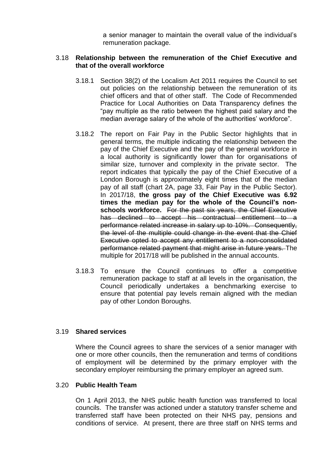a senior manager to maintain the overall value of the individual's remuneration package.

### 3.18 **Relationship between the remuneration of the Chief Executive and that of the overall workforce**

- 3.18.1 Section 38(2) of the Localism Act 2011 requires the Council to set out policies on the relationship between the remuneration of its chief officers and that of other staff. The Code of Recommended Practice for Local Authorities on Data Transparency defines the "pay multiple as the ratio between the highest paid salary and the median average salary of the whole of the authorities' workforce".
- 3.18.2 The report on Fair Pay in the Public Sector highlights that in general terms, the multiple indicating the relationship between the pay of the Chief Executive and the pay of the general workforce in a local authority is significantly lower than for organisations of similar size, turnover and complexity in the private sector. The report indicates that typically the pay of the Chief Executive of a London Borough is approximately eight times that of the median pay of all staff (chart 2A, page 33, Fair Pay in the Public Sector). In 2017/18, **the gross pay of the Chief Executive was 6.92 times the median pay for the whole of the Council's nonschools workforce.** For the past six years, the Chief Executive has declined to accept his contractual entitlement to a performance related increase in salary up to 10%. Consequently, the level of the multiple could change in the event that the Chief Executive opted to accept any entitlement to a non-consolidated performance related payment that might arise in future years. The multiple for 2017/18 will be published in the annual accounts.
- 3.18.3 To ensure the Council continues to offer a competitive remuneration package to staff at all levels in the organisation, the Council periodically undertakes a benchmarking exercise to ensure that potential pay levels remain aligned with the median pay of other London Boroughs.

### 3.19 **Shared services**

Where the Council agrees to share the services of a senior manager with one or more other councils, then the remuneration and terms of conditions of employment will be determined by the primary employer with the secondary employer reimbursing the primary employer an agreed sum.

### 3.20 **Public Health Team**

On 1 April 2013, the NHS public health function was transferred to local councils. The transfer was actioned under a statutory transfer scheme and transferred staff have been protected on their NHS pay, pensions and conditions of service. At present, there are three staff on NHS terms and